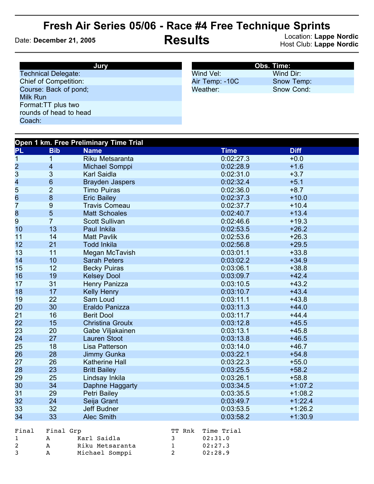## **Fresh Air Series 05/06 - Race #4 Free Technique Sprints**

Date: **December 21, 2005 Results** Location: **Lappe Nordic** Host Club: **Lappe Nordic**

| Jury                         | <b>Obs. Time:</b> |            |  |
|------------------------------|-------------------|------------|--|
| <b>Technical Delegate:</b>   | Wind Vel:         | Wind Dir:  |  |
| <b>Chief of Competition:</b> | Air Temp: -10C    | Snow Temp: |  |
| Course: Back of pond;        | Weather:          | Snow Cond: |  |
| Milk Run                     |                   |            |  |
| Format: TT plus two          |                   |            |  |
| rounds of head to head       |                   |            |  |
| Coach:                       |                   |            |  |

| Open 1 km. Free Preliminary Time Trial |                         |                         |        |             |             |  |
|----------------------------------------|-------------------------|-------------------------|--------|-------------|-------------|--|
| PL                                     | <b>Bib</b>              | <b>Name</b>             |        | <b>Time</b> | <b>Diff</b> |  |
| 1                                      | 1                       | Riku Metsaranta         |        | 0:02:27.3   | $+0.0$      |  |
| $\overline{\mathbf{c}}$                | $\overline{\mathbf{4}}$ | Michael Somppi          |        | 0:02:28.9   | $+1.6$      |  |
| 3                                      | $\sqrt{3}$              | <b>Karl Saidla</b>      |        | 0:02:31.0   | $+3.7$      |  |
| 4                                      | $\,$ 6 $\,$             | <b>Brayden Jaspers</b>  |        | 0:02:32.4   | $+5.1$      |  |
| 5                                      | $\overline{2}$          | <b>Timo Puiras</b>      |        | 0:02:36.0   | $+8.7$      |  |
| 6                                      | $\bf 8$                 | <b>Eric Bailey</b>      |        | 0:02:37.3   | $+10.0$     |  |
| 7                                      | $\boldsymbol{9}$        | <b>Travis Comeau</b>    |        | 0:02:37.7   | $+10.4$     |  |
| 8                                      | $\overline{5}$          | <b>Matt Schoales</b>    |        | 0:02:40.7   | $+13.4$     |  |
| 9                                      | $\overline{7}$          | <b>Scott Sullivan</b>   |        | 0:02:46.6   | $+19.3$     |  |
| 10                                     | 13                      | Paul Inkila             |        | 0:02:53.5   | $+26.2$     |  |
| 11                                     | 14                      | <b>Matt Pavlik</b>      |        | 0:02:53.6   | $+26.3$     |  |
| 12                                     | 21                      | <b>Todd Inkila</b>      |        | 0:02:56.8   | $+29.5$     |  |
| 13                                     | 11                      | Megan McTavish          |        | 0:03:01.1   | $+33.8$     |  |
| 14                                     | 10                      | <b>Sarah Peters</b>     |        | 0:03:02.2   | $+34.9$     |  |
| 15                                     | 12                      | <b>Becky Puiras</b>     |        | 0:03:06.1   | $+38.8$     |  |
| 16                                     | 19                      | <b>Kelsey Dool</b>      |        | 0:03:09.7   | $+42.4$     |  |
| 17                                     | 31                      | Henry Panizza           |        | 0:03:10.5   | $+43.2$     |  |
| 18                                     | 17                      | <b>Kelly Henry</b>      |        | 0:03:10.7   | $+43.4$     |  |
| 19                                     | 22                      | Sam Loud                |        | 0:03:11.1   | $+43.8$     |  |
| 20                                     | 30                      | Eraldo Panizza          |        | 0:03:11.3   | $+44.0$     |  |
| 21                                     | 16                      | <b>Berit Dool</b>       |        | 0:03:11.7   | $+44.4$     |  |
| 22                                     | 15                      | <b>Christina Groulx</b> |        | 0:03:12.8   | $+45.5$     |  |
| 23                                     | 20                      | Gabe Viljakainen        |        | 0:03:13.1   | $+45.8$     |  |
| 24                                     | 27                      | <b>Lauren Stoot</b>     |        | 0:03:13.8   | $+46.5$     |  |
| 25                                     | 18                      | Lisa Patterson          |        | 0:03:14.0   | $+46.7$     |  |
| 26                                     | 28                      | Jimmy Gunka             |        | 0:03:22.1   | $+54.8$     |  |
| 27                                     | 26                      | Katherine Hall          |        | 0:03:22.3   | $+55.0$     |  |
| 28                                     | 23                      | <b>Britt Bailey</b>     |        | 0:03:25.5   | $+58.2$     |  |
| 29                                     | 25                      | Lindsay Inkila          |        | 0:03:26.1   | $+58.8$     |  |
| 30                                     | 34                      | Daphne Haggarty         |        | 0:03:34.5   | $+1:07.2$   |  |
| 31                                     | 29                      | Petri Bailey            |        | 0:03:35.5   | $+1:08.2$   |  |
| 32                                     | 24                      | Seija Grant             |        | 0:03:49.7   | $+1:22.4$   |  |
| 33                                     | 32                      | Jeff Budner             |        | 0:03:53.5   | $+1:26.2$   |  |
| 34                                     | 33                      | <b>Alec Smith</b>       |        | 0:03:58.2   | $+1:30.9$   |  |
| Final                                  | Final Grp               |                         | TT Rnk | Time Trial  |             |  |

| Final | Final Gro |                 |            | TT Rnk Time Trial |
|-------|-----------|-----------------|------------|-------------------|
|       | A         | Karl Saidla     | <b>B B</b> | 02:31.0           |
| 2     | A         | Riku Metsaranta |            | 02:27.3           |
| -3    | A         | Michael Somppi  |            | 02:28.9           |
|       |           |                 |            |                   |